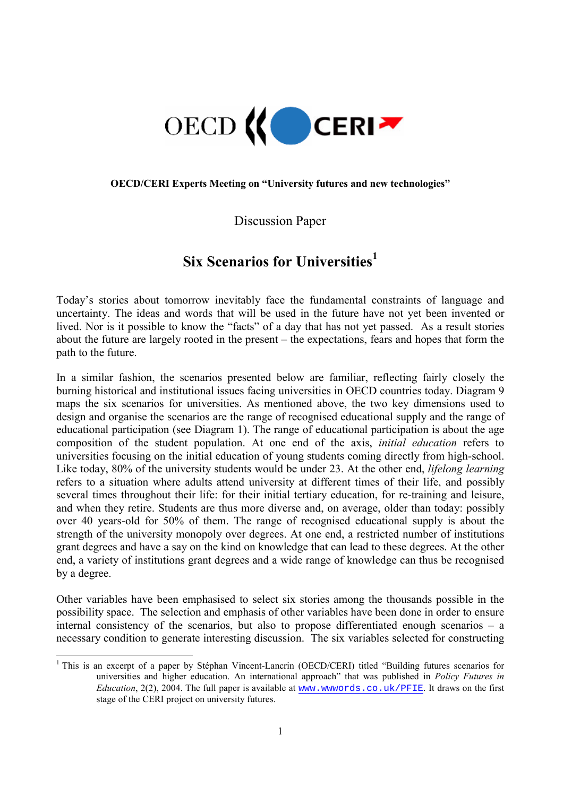

## **OECD/CERI Experts Meeting on "University futures and new technologies"**

# Discussion Paper

# **Six Scenarios for Universities<sup>1</sup>**

Today's stories about tomorrow inevitably face the fundamental constraints of language and uncertainty. The ideas and words that will be used in the future have not yet been invented or lived. Nor is it possible to know the "facts" of a day that has not yet passed. As a result stories about the future are largely rooted in the present – the expectations, fears and hopes that form the path to the future.

In a similar fashion, the scenarios presented below are familiar, reflecting fairly closely the burning historical and institutional issues facing universities in OECD countries today. Diagram 9 maps the six scenarios for universities. As mentioned above, the two key dimensions used to design and organise the scenarios are the range of recognised educational supply and the range of educational participation (see Diagram 1). The range of educational participation is about the age composition of the student population. At one end of the axis, *initial education* refers to universities focusing on the initial education of young students coming directly from high-school. Like today, 80% of the university students would be under 23. At the other end, *lifelong learning* refers to a situation where adults attend university at different times of their life, and possibly several times throughout their life: for their initial tertiary education, for re-training and leisure, and when they retire. Students are thus more diverse and, on average, older than today: possibly over 40 years-old for 50% of them. The range of recognised educational supply is about the strength of the university monopoly over degrees. At one end, a restricted number of institutions grant degrees and have a say on the kind on knowledge that can lead to these degrees. At the other end, a variety of institutions grant degrees and a wide range of knowledge can thus be recognised by a degree.

Other variables have been emphasised to select six stories among the thousands possible in the possibility space. The selection and emphasis of other variables have been done in order to ensure internal consistency of the scenarios, but also to propose differentiated enough scenarios – a necessary condition to generate interesting discussion. The six variables selected for constructing

<sup>&</sup>lt;sup>1</sup> This is an excerpt of a paper by Stéphan Vincent-Lancrin (OECD/CERI) titled "Building futures scenarios for universities and higher education. An international approach" that was published in *Policy Futures in Education*, 2(2), 2004. The full paper is available at www.wwwords.co.uk/PFIE. It draws on the first stage of the CERI project on university futures.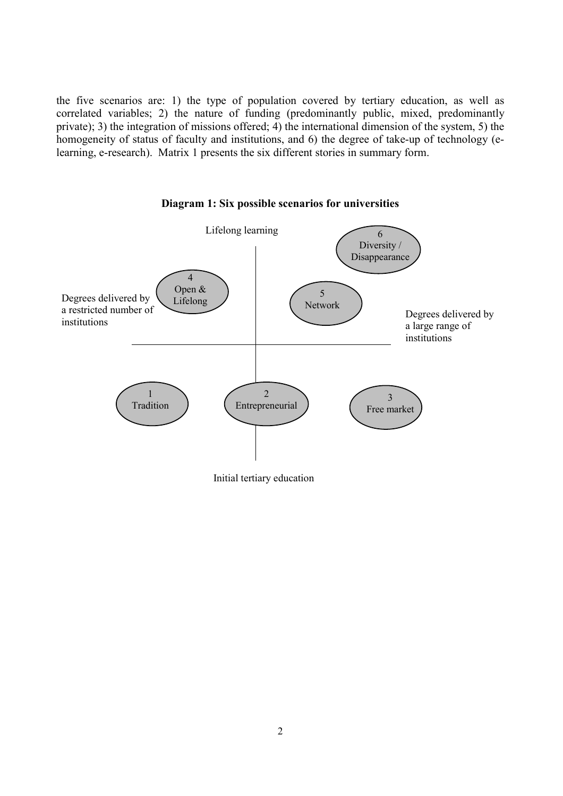the five scenarios are: 1) the type of population covered by tertiary education, as well as correlated variables; 2) the nature of funding (predominantly public, mixed, predominantly private); 3) the integration of missions offered; 4) the international dimension of the system, 5) the homogeneity of status of faculty and institutions, and 6) the degree of take-up of technology (elearning, e-research). Matrix 1 presents the six different stories in summary form.



## **Diagram 1: Six possible scenarios for universities**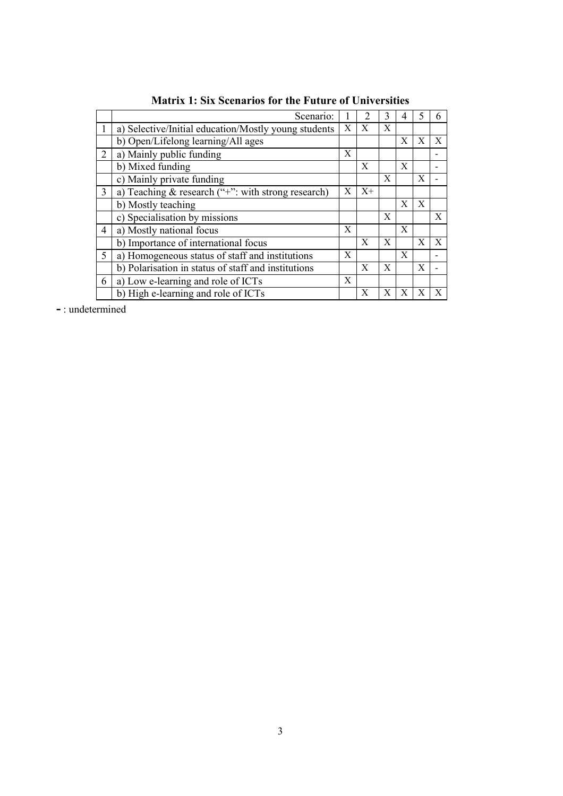|                | Scenario:                                            |   | 2    | 3 | 4 |   |   |
|----------------|------------------------------------------------------|---|------|---|---|---|---|
|                | a) Selective/Initial education/Mostly young students | X | X    | X |   |   |   |
|                | b) Open/Lifelong learning/All ages                   |   |      |   | X | X | X |
| $\overline{2}$ | a) Mainly public funding                             | X |      |   |   |   |   |
|                | b) Mixed funding                                     |   | X    |   | X |   |   |
|                | c) Mainly private funding                            |   |      | X |   | X |   |
| 3              | a) Teaching $&$ research ("+": with strong research) | X | $X+$ |   |   |   |   |
|                | b) Mostly teaching                                   |   |      |   | X | X |   |
|                | c) Specialisation by missions                        |   |      | X |   |   | X |
| $\overline{4}$ | a) Mostly national focus                             | X |      |   | X |   |   |
|                | b) Importance of international focus                 |   | X    | X |   | X | X |
| 5              | a) Homogeneous status of staff and institutions      | X |      |   | X |   |   |
|                | b) Polarisation in status of staff and institutions  |   | X    | X |   | X |   |
| 6              | a) Low e-learning and role of ICTs                   | X |      |   |   |   |   |
|                | b) High e-learning and role of ICTs                  |   | X    | X | X | X |   |

**Matrix 1: Six Scenarios for the Future of Universities** 

**-** : undetermined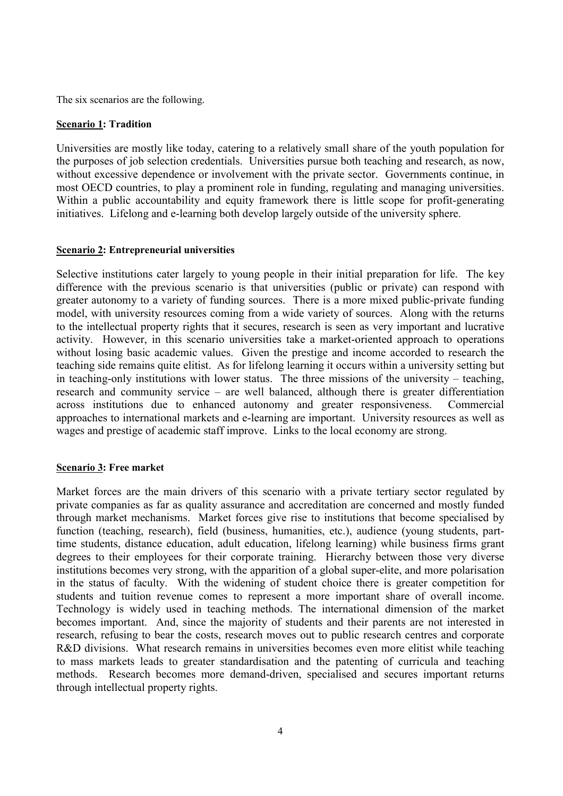The six scenarios are the following.

### **Scenario 1: Tradition**

Universities are mostly like today, catering to a relatively small share of the youth population for the purposes of job selection credentials. Universities pursue both teaching and research, as now, without excessive dependence or involvement with the private sector. Governments continue, in most OECD countries, to play a prominent role in funding, regulating and managing universities. Within a public accountability and equity framework there is little scope for profit-generating initiatives. Lifelong and e-learning both develop largely outside of the university sphere.

### **Scenario 2: Entrepreneurial universities**

Selective institutions cater largely to young people in their initial preparation for life. The key difference with the previous scenario is that universities (public or private) can respond with greater autonomy to a variety of funding sources. There is a more mixed public-private funding model, with university resources coming from a wide variety of sources. Along with the returns to the intellectual property rights that it secures, research is seen as very important and lucrative activity. However, in this scenario universities take a market-oriented approach to operations without losing basic academic values. Given the prestige and income accorded to research the teaching side remains quite elitist. As for lifelong learning it occurs within a university setting but in teaching-only institutions with lower status. The three missions of the university – teaching, research and community service – are well balanced, although there is greater differentiation across institutions due to enhanced autonomy and greater responsiveness. Commercial approaches to international markets and e-learning are important. University resources as well as wages and prestige of academic staff improve. Links to the local economy are strong.

### **Scenario 3: Free market**

Market forces are the main drivers of this scenario with a private tertiary sector regulated by private companies as far as quality assurance and accreditation are concerned and mostly funded through market mechanisms. Market forces give rise to institutions that become specialised by function (teaching, research), field (business, humanities, etc.), audience (young students, parttime students, distance education, adult education, lifelong learning) while business firms grant degrees to their employees for their corporate training. Hierarchy between those very diverse institutions becomes very strong, with the apparition of a global super-elite, and more polarisation in the status of faculty. With the widening of student choice there is greater competition for students and tuition revenue comes to represent a more important share of overall income. Technology is widely used in teaching methods. The international dimension of the market becomes important. And, since the majority of students and their parents are not interested in research, refusing to bear the costs, research moves out to public research centres and corporate R&D divisions. What research remains in universities becomes even more elitist while teaching to mass markets leads to greater standardisation and the patenting of curricula and teaching methods. Research becomes more demand-driven, specialised and secures important returns through intellectual property rights.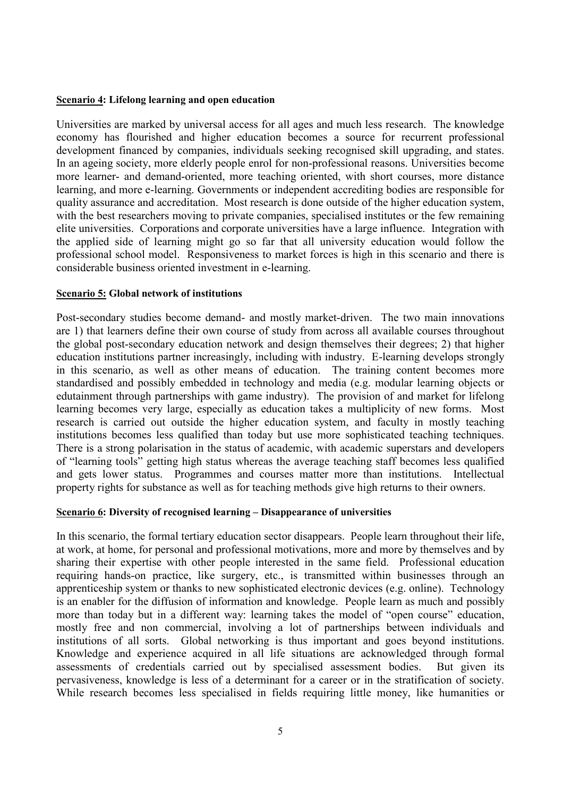#### **Scenario 4: Lifelong learning and open education**

Universities are marked by universal access for all ages and much less research. The knowledge economy has flourished and higher education becomes a source for recurrent professional development financed by companies, individuals seeking recognised skill upgrading, and states. In an ageing society, more elderly people enrol for non-professional reasons. Universities become more learner- and demand-oriented, more teaching oriented, with short courses, more distance learning, and more e-learning. Governments or independent accrediting bodies are responsible for quality assurance and accreditation. Most research is done outside of the higher education system, with the best researchers moving to private companies, specialised institutes or the few remaining elite universities. Corporations and corporate universities have a large influence. Integration with the applied side of learning might go so far that all university education would follow the professional school model. Responsiveness to market forces is high in this scenario and there is considerable business oriented investment in e-learning.

#### **Scenario 5: Global network of institutions**

Post-secondary studies become demand- and mostly market-driven. The two main innovations are 1) that learners define their own course of study from across all available courses throughout the global post-secondary education network and design themselves their degrees; 2) that higher education institutions partner increasingly, including with industry. E-learning develops strongly in this scenario, as well as other means of education. The training content becomes more standardised and possibly embedded in technology and media (e.g. modular learning objects or edutainment through partnerships with game industry). The provision of and market for lifelong learning becomes very large, especially as education takes a multiplicity of new forms. Most research is carried out outside the higher education system, and faculty in mostly teaching institutions becomes less qualified than today but use more sophisticated teaching techniques. There is a strong polarisation in the status of academic, with academic superstars and developers of "learning tools" getting high status whereas the average teaching staff becomes less qualified and gets lower status. Programmes and courses matter more than institutions. Intellectual property rights for substance as well as for teaching methods give high returns to their owners.

### **Scenario 6: Diversity of recognised learning – Disappearance of universities**

In this scenario, the formal tertiary education sector disappears. People learn throughout their life, at work, at home, for personal and professional motivations, more and more by themselves and by sharing their expertise with other people interested in the same field. Professional education requiring hands-on practice, like surgery, etc., is transmitted within businesses through an apprenticeship system or thanks to new sophisticated electronic devices (e.g. online). Technology is an enabler for the diffusion of information and knowledge. People learn as much and possibly more than today but in a different way: learning takes the model of "open course" education, mostly free and non commercial, involving a lot of partnerships between individuals and institutions of all sorts. Global networking is thus important and goes beyond institutions. Knowledge and experience acquired in all life situations are acknowledged through formal assessments of credentials carried out by specialised assessment bodies. But given its pervasiveness, knowledge is less of a determinant for a career or in the stratification of society. While research becomes less specialised in fields requiring little money, like humanities or